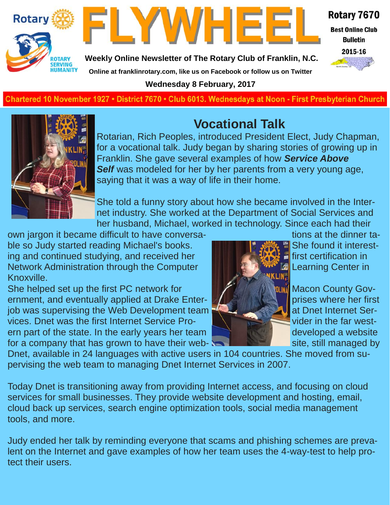



**Weekly Online Newsletter of The Rotary Club of Franklin, N.C.**

Rotary 7670

**Best Online Club Bulletin** 

2015-16

**Online at franklinrotary.com, like us on Facebook or follow us on Twitter**

**Wednesday 8 February, 2017**

**Charted November 29, 1927 • District 7670 • Club 6013 Wednesdays at Noon - First Presbyterian Church**



# **Vocational Talk**

Rotarian, Rich Peoples, introduced President Elect, Judy Chapman, for a vocational talk. Judy began by sharing stories of growing up in Franklin. She gave several examples of how *Service Above Self* was modeled for her by her parents from a very young age, saying that it was a way of life in their home.

She told a funny story about how she became involved in the Internet industry. She worked at the Department of Social Services and her husband, Michael, worked in technology. Since each had their

own jargon it became difficult to have conversa- the state of the dinner table so Judy started reading Michael's books. She found it interesting and continued studying, and received her **fight that the first certification in** Network Administration through the Computer Learning Center in Knoxville.

She helped set up the first PC network for **Macon County Gov-** She helped set up the first PC network for ernment, and eventually applied at Drake Enter- **Product and all prises where her first** job was supervising the Web Development team  $\mathbb{R}$  **Example 20** at Dnet Internet Services. Dnet was the first Internet Service Pro- **Value 2014** Vider in the far western part of the state. In the early years her team **the state of the state of the state.** In the early years her team for a company that has grown to have their web- state that site, still managed by



Dnet, available in 24 languages with active users in 104 countries. She moved from supervising the web team to managing Dnet Internet Services in 2007.

Today Dnet is transitioning away from providing Internet access, and focusing on cloud services for small businesses. They provide website development and hosting, email, cloud back up services, search engine optimization tools, social media management tools, and more.

Judy ended her talk by reminding everyone that scams and phishing schemes are prevalent on the Internet and gave examples of how her team uses the 4-way-test to help protect their users.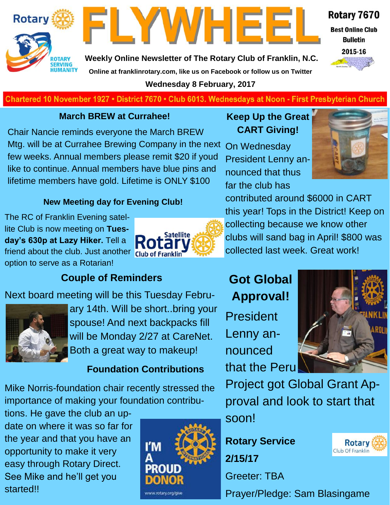



**Weekly Online Newsletter of The Rotary Club of Franklin, N.C. Online at franklinrotary.com, like us on Facebook or follow us on Twitter**

**Wednesday 8 February, 2017**



**Best Online Club Bulletin** 



Chartered 10 November 1927 • District 7670 • Club 6013. Wednesdays at Noon - First Presbyterian Church

#### **March BREW at Currahee!**

Chair Nancie reminds everyone the March BREW Mtg. will be at Currahee Brewing Company in the next few weeks. Annual members please remit \$20 if youd like to continue. Annual members have blue pins and lifetime members have gold. Lifetime is ONLY \$100

#### **Keep Up the Great CART Giving!**

On Wednesday President Lenny announced that thus far the club has



#### **New Meeting day for Evening Club!**

The RC of Franklin Evening satellite Club is now meeting on **Tuesday's 630p at Lazy Hiker.** Tell a friend about the club. Just another Club of Franklin option to serve as a Rotarian!



contributed around \$6000 in CART this year! Tops in the District! Keep on collecting because we know other clubs will sand bag in April! \$800 was collected last week. Great work!

#### **Couple of Reminders**

#### Next board meeting will be this Tuesday Febru-



ary 14th. Will be short..bring your spouse! And next backpacks fill will be Monday 2/27 at CareNet. Both a great way to makeup!

#### **Foundation Contributions**

Mike Norris-foundation chair recently stressed the importance of making your foundation contribu-

tions. He gave the club an update on where it was so far for the year and that you have an opportunity to make it very easy through Rotary Direct. See Mike and he'll get you started!!



## **Got Global Approval!**

President Lenny announced that the Peru



**Rotary** 

Club Of Franklin

Project got Global Grant Approval and look to start that soon!

**Rotary Service 2/15/17**

Greeter: TBA

Prayer/Pledge: Sam Blasingame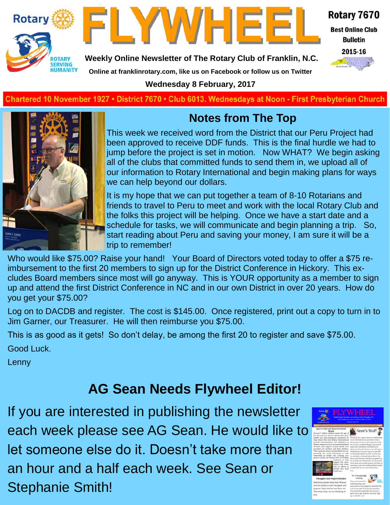



Rotary 7670

**Best Online Club Bulletin** 



**Weekly Online Newsletter of The Rotary Club of Franklin, N.C.**

**Online at franklinrotary.com, like us on Facebook or follow us on Twitter**

**Wednesday 8 February, 2017**

**Charted November 29, 1927 • District 7670 • Club 6013 Wednesdays at Noon - First Presbyterian Church**



### **Notes from The Top**

This week we received word from the District that our Peru Project had been approved to receive DDF funds. This is the final hurdle we had to jump before the project is set in motion. Now WHAT? We begin asking all of the clubs that committed funds to send them in, we upload all of our information to Rotary International and begin making plans for ways we can help beyond our dollars.

It is my hope that we can put together a team of 8-10 Rotarians and friends to travel to Peru to meet and work with the local Rotary Club and the folks this project will be helping. Once we have a start date and a schedule for tasks, we will communicate and begin planning a trip. So, start reading about Peru and saving your money, I am sure it will be a trip to remember!

Who would like \$75.00? Raise your hand! Your Board of Directors voted today to offer a \$75 reimbursement to the first 20 members to sign up for the District Conference in Hickory. This excludes Board members since most will go anyway. This is YOUR opportunity as a member to sign up and attend the first District Conference in NC and in our own District in over 20 years. How do you get your \$75.00?

Log on to DACDB and register. The cost is \$145.00. Once registered, print out a copy to turn in to Jim Garner, our Treasurer. He will then reimburse you \$75.00.

This is as good as it gets! So don't delay, be among the first 20 to register and save \$75.00.

Good Luck.

Lenny

# **AG Sean Needs Flywheel Editor!**

If you are interested in publishing the newsletter each week please see AG Sean. He would like to let someone else do it. Doesn't take more than an hour and a half each week. See Sean or Stephanie Smith!

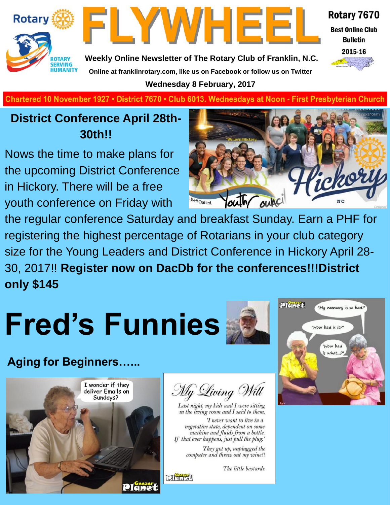



Rotary 7670

**Best Online Club Bulletin** 



**Weekly Online Newsletter of The Rotary Club of Franklin, N.C. Online at franklinrotary.com, like us on Facebook or follow us on Twitter**

**Wednesday 8 February, 2017**

**Charted November 29, 1927 • District 7670 • Club 6013 Wednesdays at Noon - First Presbyterian Church**

## **District Conference April 28th-30th!!**

Nows the time to make plans for the upcoming District Conference in Hickory. There will be a free youth conference on Friday with



the regular conference Saturday and breakfast Sunday. Earn a PHF for registering the highest percentage of Rotarians in your club category size for the Young Leaders and District Conference in Hickory April 28- 30, 2017!! **Register now on DacDb for the conferences!!!District only \$145**

# **Fred's Funnies**

**Aging for Beginners…...**





Last night, my kids and I were sitting in the living room and I said to them, 'I never want to live in a vegetative state, dependent on some

machine and fluids from a bottle. If that ever happens, just pull the plug.'

They got up, unplugged the<br>computer and threw out my wine!!

The little bastards.



**Pierrea**